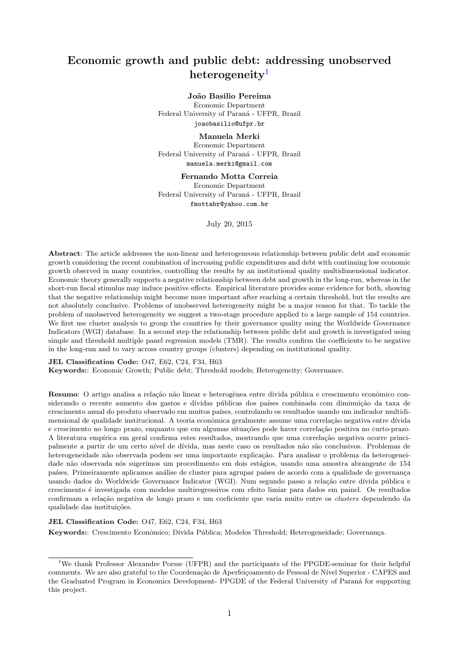# Economic growth and public debt: addressing unobserved heterogeneity<sup>[1](#page-0-0)</sup>

#### João Basilio Pereima

Economic Department Federal University of Paraná - UFPR, Brazil joaobasilio@ufpr.br

#### Manuela Merki

Economic Department Federal University of Paraná - UFPR, Brazil manuela.merki@gmail.com

#### Fernando Motta Correia

Economic Department Federal University of Paraná - UFPR, Brazil fmottabr@yahoo.com.br

July 20, 2015

Abstract: The article addresses the non-linear and heterogeneous relationship between public debt and economic growth considering the recent combination of increasing public expenditures and debt with continuing low economic growth observed in many countries, controlling the results by an institutional quality multidimensional indicator. Economic theory generally supports a negative relationship between debt and growth in the long-run, whereas in the short-run fiscal stimulus may induce positive effects. Empirical literature provides some evidence for both, showing that the negative relationship might become more important after reaching a certain threshold, but the results are not absolutely conclusive. Problems of unobserved heterogeneity might be a major reason for that. To tackle the problem of unobserved heterogeneity we suggest a two-stage procedure applied to a large sample of 154 countries. We first use cluster analysis to group the countries by their governance quality using the Worldwide Governance Indicators (WGI) database. In a second step the relationship between public debt and growth is investigated using simple and threshold multiple panel regression models (TMR). The results confirm the coefficients to be negative in the long-run and to vary across country groups (clusters) depending on institutional quality.

#### JEL Classification Code: O47, E62, C24, F34, H63

Keywords:: Economic Growth; Public debt; Threshold models; Heterogeneity; Governance.

Resumo: O artigo analisa a relação não linear e heterogênea entre dívida pública e crescimento econômico considerando o recente aumento dos gastos e dívidas públicas dos países combinada com diminuição da taxa de crescimento anual do produto observado em muitos pa´ıses, controlando os resultados usando um indicador multidimensional de qualidade institucional. A teoria econômica geralmente assume uma correlação negativa entre dívida e crescimento no longo prazo, enquanto que em algumas situações pode haver correlação positiva no curto-prazo. A literatura empírica em geral confirma estes resultados, mostrando que uma correlação negativa ocorre principalmente a partir de um certo n´ıvel de d´ıvida, mas neste caso os resultados n˜ao s˜ao conclusivos. Problemas de heterogeneidade não observada podem ser uma importante explicação. Para analisar o problema da heterogeneidade não observada nós sugerimos um procedimento em dois estágios, usando uma amostra abrangente de 154 países. Primeiramente aplicamos análise de cluster para agrupar países de acordo com a qualidade de governança usando dados do Worldwide Governance Indicator (WGI). Num segundo passo a relação entre dívida pública e crescimento ´e investigada com modelos multiregressivos com efeito limiar para dados em painel. Os resultados confirmam a relação negativa de longo prazo e um coeficiente que varia muito entre os *clusters* dependendo da qualidade das instituições.

### JEL Classification Code: 047, E62, C24, F34, H63

Keywords:: Crescimento Econômico; Dívida Pública; Modelos Threshold; Heterogeneidade; Governança.

<span id="page-0-0"></span><sup>1</sup>We thank Professor Alexandre Porsse (UFPR) and the participants of the PPGDE-seminar for their helpful comments. We are also grateful to the Coordenação de Aperfeiçoamento de Pessoal de Nível Superior - CAPES and the Graduated Program in Economics Development- PPGDE of the Federal University of Paraná for supporting this project.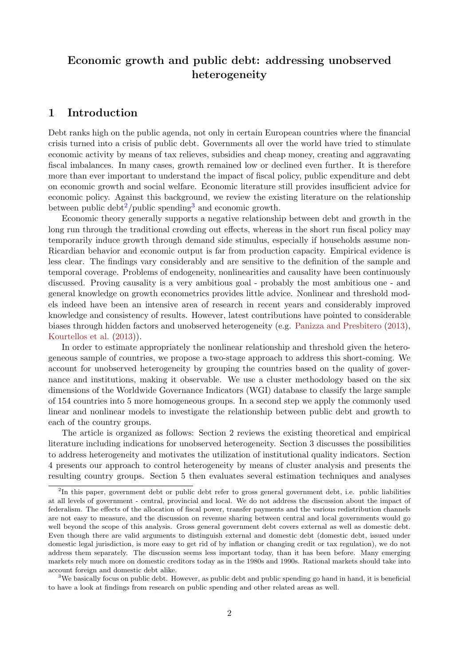# Economic growth and public debt: addressing unobserved heterogeneity

# 1 Introduction

Debt ranks high on the public agenda, not only in certain European countries where the financial crisis turned into a crisis of public debt. Governments all over the world have tried to stimulate economic activity by means of tax relieves, subsidies and cheap money, creating and aggravating fiscal imbalances. In many cases, growth remained low or declined even further. It is therefore more than ever important to understand the impact of fiscal policy, public expenditure and debt on economic growth and social welfare. Economic literature still provides insufficient advice for economic policy. Against this background, we review the existing literature on the relationship between public debt<sup>[2](#page-1-0)</sup>/public spending<sup>[3](#page-1-1)</sup> and economic growth.

Economic theory generally supports a negative relationship between debt and growth in the long run through the traditional crowding out effects, whereas in the short run fiscal policy may temporarily induce growth through demand side stimulus, especially if households assume non-Ricardian behavior and economic output is far from production capacity. Empirical evidence is less clear. The findings vary considerably and are sensitive to the definition of the sample and temporal coverage. Problems of endogeneity, nonlinearities and causality have been continuously discussed. Proving causality is a very ambitious goal - probably the most ambitious one - and general knowledge on growth econometrics provides little advice. Nonlinear and threshold models indeed have been an intensive area of research in recent years and considerably improved knowledge and consistency of results. However, latest contributions have pointed to considerable biases through hidden factors and unobserved heterogeneity (e.g. [Panizza and Presbitero](#page-20-0) [\(2013\)](#page-20-0), [Kourtellos et al.](#page-19-0) [\(2013\)](#page-19-0)).

In order to estimate appropriately the nonlinear relationship and threshold given the heterogeneous sample of countries, we propose a two-stage approach to address this short-coming. We account for unobserved heterogeneity by grouping the countries based on the quality of governance and institutions, making it observable. We use a cluster methodology based on the six dimensions of the Worldwide Governance Indicators (WGI) database to classify the large sample of 154 countries into 5 more homogeneous groups. In a second step we apply the commonly used linear and nonlinear models to investigate the relationship between public debt and growth to each of the country groups.

The article is organized as follows: Section 2 reviews the existing theoretical and empirical literature including indications for unobserved heterogeneity. Section 3 discusses the possibilities to address heterogeneity and motivates the utilization of institutional quality indicators. Section 4 presents our approach to control heterogeneity by means of cluster analysis and presents the resulting country groups. Section 5 then evaluates several estimation techniques and analyses

<span id="page-1-1"></span><sup>3</sup>We basically focus on public debt. However, as public debt and public spending go hand in hand, it is beneficial to have a look at findings from research on public spending and other related areas as well.

<span id="page-1-0"></span><sup>2</sup> In this paper, government debt or public debt refer to gross general government debt, i.e. public liabilities at all levels of government - central, provincial and local. We do not address the discussion about the impact of federalism. The effects of the allocation of fiscal power, transfer payments and the various redistribution channels are not easy to measure, and the discussion on revenue sharing between central and local governments would go well beyond the scope of this analysis. Gross general government debt covers external as well as domestic debt. Even though there are valid arguments to distinguish external and domestic debt (domestic debt, issued under domestic legal jurisdiction, is more easy to get rid of by inflation or changing credit or tax regulation), we do not address them separately. The discussion seems less important today, than it has been before. Many emerging markets rely much more on domestic creditors today as in the 1980s and 1990s. Rational markets should take into account foreign and domestic debt alike.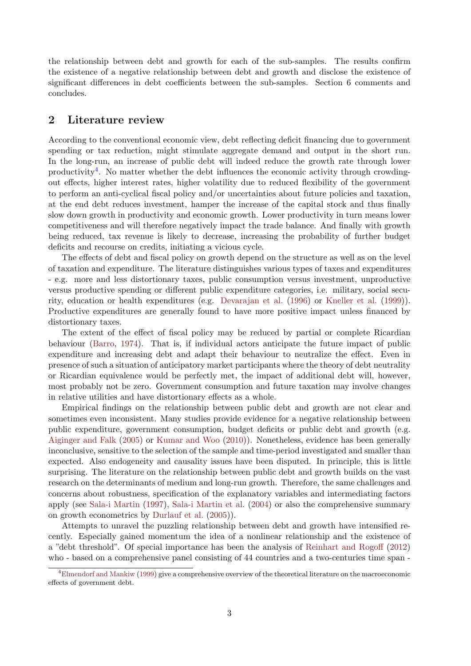the relationship between debt and growth for each of the sub-samples. The results confirm the existence of a negative relationship between debt and growth and disclose the existence of significant differences in debt coefficients between the sub-samples. Section 6 comments and concludes.

# 2 Literature review

According to the conventional economic view, debt reflecting deficit financing due to government spending or tax reduction, might stimulate aggregate demand and output in the short run. In the long-run, an increase of public debt will indeed reduce the growth rate through lower productivity<sup>[4](#page-2-0)</sup>. No matter whether the debt influences the economic activity through crowdingout effects, higher interest rates, higher volatility due to reduced flexibility of the government to perform an anti-cyclical fiscal policy and/or uncertainties about future policies and taxation, at the end debt reduces investment, hamper the increase of the capital stock and thus finally slow down growth in productivity and economic growth. Lower productivity in turn means lower competitiveness and will therefore negatively impact the trade balance. And finally with growth being reduced, tax revenue is likely to decrease, increasing the probability of further budget deficits and recourse on credits, initiating a vicious cycle.

The effects of debt and fiscal policy on growth depend on the structure as well as on the level of taxation and expenditure. The literature distinguishes various types of taxes and expenditures - e.g. more and less distortionary taxes, public consumption versus investment, unproductive versus productive spending or different public expenditure categories, i.e. military, social security, education or health expenditures (e.g. [Devarajan et al.](#page-19-1) [\(1996\)](#page-19-1) or [Kneller et al.](#page-19-2) [\(1999\)](#page-19-2)). Productive expenditures are generally found to have more positive impact unless financed by distortionary taxes.

The extent of the effect of fiscal policy may be reduced by partial or complete Ricardian behaviour [\(Barro,](#page-19-3) [1974\)](#page-19-3). That is, if individual actors anticipate the future impact of public expenditure and increasing debt and adapt their behaviour to neutralize the effect. Even in presence of such a situation of anticipatory market participants where the theory of debt neutrality or Ricardian equivalence would be perfectly met, the impact of additional debt will, however, most probably not be zero. Government consumption and future taxation may involve changes in relative utilities and have distortionary effects as a whole.

Empirical findings on the relationship between public debt and growth are not clear and sometimes even inconsistent. Many studies provide evidence for a negative relationship between public expenditure, government consumption, budget deficits or public debt and growth (e.g. [Aiginger and Falk](#page-19-4) [\(2005\)](#page-19-4) or [Kumar and Woo](#page-19-5) [\(2010\)](#page-19-5)). Nonetheless, evidence has been generally inconclusive, sensitive to the selection of the sample and time-period investigated and smaller than expected. Also endogeneity and causality issues have been disputed. In principle, this is little surprising. The literature on the relationship between public debt and growth builds on the vast research on the determinants of medium and long-run growth. Therefore, the same challenges and concerns about robustness, specification of the explanatory variables and intermediating factors apply (see [Sala-i Martin](#page-20-1) [\(1997\)](#page-20-1), [Sala-i Martin et al.](#page-20-2) [\(2004\)](#page-20-2) or also the comprehensive summary on growth econometrics by [Durlauf et al.](#page-19-6) [\(2005\)](#page-19-6)).

Attempts to unravel the puzzling relationship between debt and growth have intensified recently. Especially gained momentum the idea of a nonlinear relationship and the existence of a "debt threshold". Of special importance has been the analysis of [Reinhart and Rogoff](#page-20-3) [\(2012\)](#page-20-3) who - based on a comprehensive panel consisting of 44 countries and a two-centuries time span -

<span id="page-2-0"></span><sup>4</sup>[Elmendorf and Mankiw](#page-19-7) [\(1999\)](#page-19-7) give a comprehensive overview of the theoretical literature on the macroeconomic effects of government debt.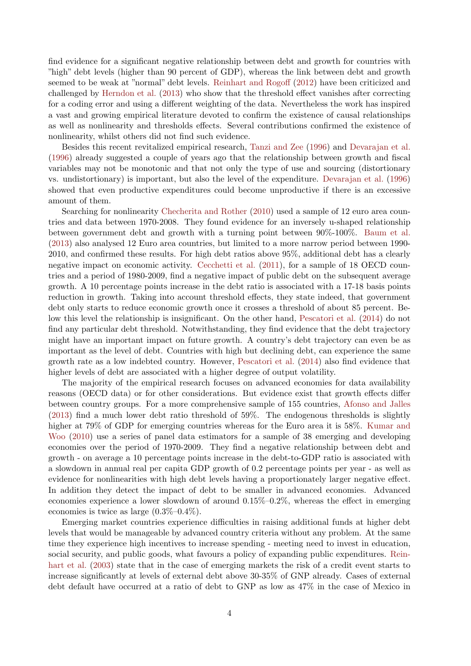find evidence for a significant negative relationship between debt and growth for countries with "high" debt levels (higher than 90 percent of GDP), whereas the link between debt and growth seemed to be weak at "normal" debt levels. [Reinhart and Rogoff](#page-20-3) [\(2012\)](#page-20-3) have been criticized and challenged by [Herndon et al.](#page-19-8) [\(2013\)](#page-19-8) who show that the threshold effect vanishes after correcting for a coding error and using a different weighting of the data. Nevertheless the work has inspired a vast and growing empirical literature devoted to confirm the existence of causal relationships as well as nonlinearity and thresholds effects. Several contributions confirmed the existence of nonlinearity, whilst others did not find such evidence.

Besides this recent revitalized empirical research, [Tanzi and Zee](#page-20-4) [\(1996\)](#page-20-4) and [Devarajan et al.](#page-19-1) [\(1996\)](#page-19-1) already suggested a couple of years ago that the relationship between growth and fiscal variables may not be monotonic and that not only the type of use and sourcing (distortionary vs. undistortionary) is important, but also the level of the expenditure. [Devarajan et al.](#page-19-1) [\(1996\)](#page-19-1) showed that even productive expenditures could become unproductive if there is an excessive amount of them.

Searching for nonlinearity [Checherita and Rother](#page-19-9)  $(2010)$  used a sample of 12 euro area countries and data between 1970-2008. They found evidence for an inversely u-shaped relationship between government debt and growth with a turning point between 90%-100%. [Baum et al.](#page-19-10) [\(2013\)](#page-19-10) also analysed 12 Euro area countries, but limited to a more narrow period between 1990- 2010, and confirmed these results. For high debt ratios above 95%, additional debt has a clearly negative impact on economic activity. [Cecchetti et al.](#page-19-11) [\(2011\)](#page-19-11), for a sample of 18 OECD countries and a period of 1980-2009, find a negative impact of public debt on the subsequent average growth. A 10 percentage points increase in the debt ratio is associated with a 17-18 basis points reduction in growth. Taking into account threshold effects, they state indeed, that government debt only starts to reduce economic growth once it crosses a threshold of about 85 percent. Below this level the relationship is insignificant. On the other hand, [Pescatori et al.](#page-20-5) [\(2014\)](#page-20-5) do not find any particular debt threshold. Notwithstanding, they find evidence that the debt trajectory might have an important impact on future growth. A country's debt trajectory can even be as important as the level of debt. Countries with high but declining debt, can experience the same growth rate as a low indebted country. However, [Pescatori et al.](#page-20-5) [\(2014\)](#page-20-5) also find evidence that higher levels of debt are associated with a higher degree of output volatility.

The majority of the empirical research focuses on advanced economies for data availability reasons (OECD data) or for other considerations. But evidence exist that growth effects differ between country groups. For a more comprehensive sample of 155 countries, [Afonso and Jalles](#page-19-12) [\(2013\)](#page-19-12) find a much lower debt ratio threshold of 59%. The endogenous thresholds is slightly higher at  $79\%$  of GDP for emerging countries whereas for the Euro area it is 58%. [Kumar and](#page-19-5) [Woo](#page-19-5) [\(2010\)](#page-19-5) use a series of panel data estimators for a sample of 38 emerging and developing economies over the period of 1970-2009. They find a negative relationship between debt and growth - on average a 10 percentage points increase in the debt-to-GDP ratio is associated with a slowdown in annual real per capita GDP growth of 0.2 percentage points per year - as well as evidence for nonlinearities with high debt levels having a proportionately larger negative effect. In addition they detect the impact of debt to be smaller in advanced economies. Advanced economies experience a lower slowdown of around 0.15%–0.2%, whereas the effect in emerging economies is twice as large (0.3%–0.4%).

Emerging market countries experience difficulties in raising additional funds at higher debt levels that would be manageable by advanced country criteria without any problem. At the same time they experience high incentives to increase spending - meeting need to invest in education, social security, and public goods, what favours a policy of expanding public expenditures. [Rein](#page-20-6)[hart et al.](#page-20-6) [\(2003\)](#page-20-6) state that in the case of emerging markets the risk of a credit event starts to increase significantly at levels of external debt above 30-35% of GNP already. Cases of external debt default have occurred at a ratio of debt to GNP as low as 47% in the case of Mexico in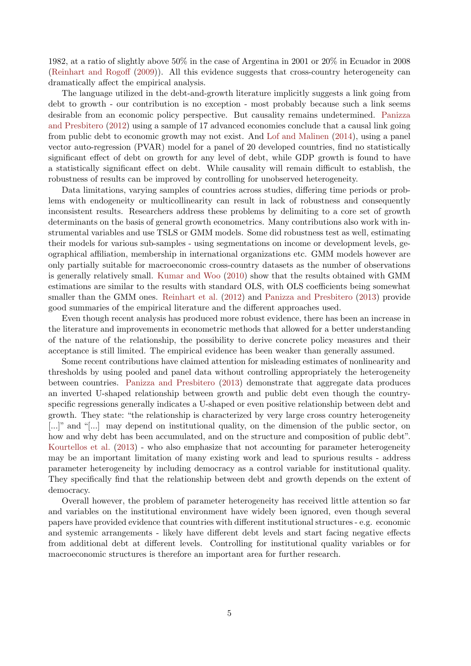1982, at a ratio of slightly above 50% in the case of Argentina in 2001 or 20% in Ecuador in 2008 [\(Reinhart and Rogoff](#page-20-7) [\(2009\)](#page-20-7)). All this evidence suggests that cross-country heterogeneity can dramatically affect the empirical analysis.

The language utilized in the debt-and-growth literature implicitly suggests a link going from debt to growth - our contribution is no exception - most probably because such a link seems desirable from an economic policy perspective. But causality remains undetermined. [Panizza](#page-20-8) [and Presbitero](#page-20-8) [\(2012\)](#page-20-8) using a sample of 17 advanced economies conclude that a causal link going from public debt to economic growth may not exist. And [Lof and Malinen](#page-20-9) [\(2014\)](#page-20-9), using a panel vector auto-regression (PVAR) model for a panel of 20 developed countries, find no statistically significant effect of debt on growth for any level of debt, while GDP growth is found to have a statistically significant effect on debt. While causality will remain difficult to establish, the robustness of results can be improved by controlling for unobserved heterogeneity.

Data limitations, varying samples of countries across studies, differing time periods or problems with endogeneity or multicollinearity can result in lack of robustness and consequently inconsistent results. Researchers address these problems by delimiting to a core set of growth determinants on the basis of general growth econometrics. Many contributions also work with instrumental variables and use TSLS or GMM models. Some did robustness test as well, estimating their models for various sub-samples - using segmentations on income or development levels, geographical affiliation, membership in international organizations etc. GMM models however are only partially suitable for macroeconomic cross-country datasets as the number of observations is generally relatively small. [Kumar and Woo](#page-19-5) [\(2010\)](#page-19-5) show that the results obtained with GMM estimations are similar to the results with standard OLS, with OLS coefficients being somewhat smaller than the GMM ones. [Reinhart et al.](#page-20-10) [\(2012\)](#page-20-10) and [Panizza and Presbitero](#page-20-0) [\(2013\)](#page-20-0) provide good summaries of the empirical literature and the different approaches used.

Even though recent analysis has produced more robust evidence, there has been an increase in the literature and improvements in econometric methods that allowed for a better understanding of the nature of the relationship, the possibility to derive concrete policy measures and their acceptance is still limited. The empirical evidence has been weaker than generally assumed.

Some recent contributions have claimed attention for misleading estimates of nonlinearity and thresholds by using pooled and panel data without controlling appropriately the heterogeneity between countries. [Panizza and Presbitero](#page-20-0) [\(2013\)](#page-20-0) demonstrate that aggregate data produces an inverted U-shaped relationship between growth and public debt even though the countryspecific regressions generally indicates a U-shaped or even positive relationship between debt and growth. They state: "the relationship is characterized by very large cross country heterogeneity [...]" and "[...] may depend on institutional quality, on the dimension of the public sector, on how and why debt has been accumulated, and on the structure and composition of public debt". [Kourtellos et al.](#page-19-0) [\(2013\)](#page-19-0) - who also emphasize that not accounting for parameter heterogeneity may be an important limitation of many existing work and lead to spurious results - address parameter heterogeneity by including democracy as a control variable for institutional quality. They specifically find that the relationship between debt and growth depends on the extent of democracy.

Overall however, the problem of parameter heterogeneity has received little attention so far and variables on the institutional environment have widely been ignored, even though several papers have provided evidence that countries with different institutional structures - e.g. economic and systemic arrangements - likely have different debt levels and start facing negative effects from additional debt at different levels. Controlling for institutional quality variables or for macroeconomic structures is therefore an important area for further research.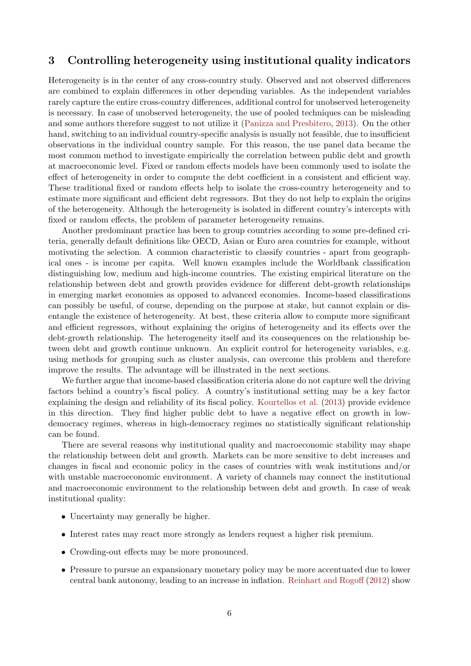# 3 Controlling heterogeneity using institutional quality indicators

Heterogeneity is in the center of any cross-country study. Observed and not observed differences are combined to explain differences in other depending variables. As the independent variables rarely capture the entire cross-country differences, additional control for unobserved heterogeneity is necessary. In case of unobserved heterogeneity, the use of pooled techniques can be misleading and some authors therefore suggest to not utilize it [\(Panizza and Presbitero,](#page-20-0) [2013\)](#page-20-0). On the other hand, switching to an individual country-specific analysis is usually not feasible, due to insufficient observations in the individual country sample. For this reason, the use panel data became the most common method to investigate empirically the correlation between public debt and growth at macroeconomic level. Fixed or random effects models have been commonly used to isolate the effect of heterogeneity in order to compute the debt coefficient in a consistent and efficient way. These traditional fixed or random effects help to isolate the cross-country heterogeneity and to estimate more significant and efficient debt regressors. But they do not help to explain the origins of the heterogeneity. Although the heterogeneity is isolated in different country's intercepts with fixed or random effects, the problem of parameter heterogeneity remains.

Another predominant practice has been to group countries according to some pre-defined criteria, generally default definitions like OECD, Asian or Euro area countries for example, without motivating the selection. A common characteristic to classify countries - apart from geographical ones - is income per capita. Well known examples include the Worldbank classification distinguishing low, medium and high-income countries. The existing empirical literature on the relationship between debt and growth provides evidence for different debt-growth relationships in emerging market economies as opposed to advanced economies. Income-based classifications can possibly be useful, of course, depending on the purpose at stake, but cannot explain or disentangle the existence of heterogeneity. At best, these criteria allow to compute more significant and efficient regressors, without explaining the origins of heterogeneity and its effects over the debt-growth relationship. The heterogeneity itself and its consequences on the relationship between debt and growth continue unknown. An explicit control for heterogeneity variables, e.g. using methods for grouping such as cluster analysis, can overcome this problem and therefore improve the results. The advantage will be illustrated in the next sections.

We further argue that income-based classification criteria alone do not capture well the driving factors behind a country's fiscal policy. A country's institutional setting may be a key factor explaining the design and reliability of its fiscal policy. [Kourtellos et al.](#page-19-0) [\(2013\)](#page-19-0) provide evidence in this direction. They find higher public debt to have a negative effect on growth in lowdemocracy regimes, whereas in high-democracy regimes no statistically significant relationship can be found.

There are several reasons why institutional quality and macroeconomic stability may shape the relationship between debt and growth. Markets can be more sensitive to debt increases and changes in fiscal and economic policy in the cases of countries with weak institutions and/or with unstable macroeconomic environment. A variety of channels may connect the institutional and macroeconomic environment to the relationship between debt and growth. In case of weak institutional quality:

- Uncertainty may generally be higher.
- Interest rates may react more strongly as lenders request a higher risk premium.
- Crowding-out effects may be more pronounced.
- Pressure to pursue an expansionary monetary policy may be more accentuated due to lower central bank autonomy, leading to an increase in inflation. [Reinhart and Rogoff](#page-20-3) [\(2012\)](#page-20-3) show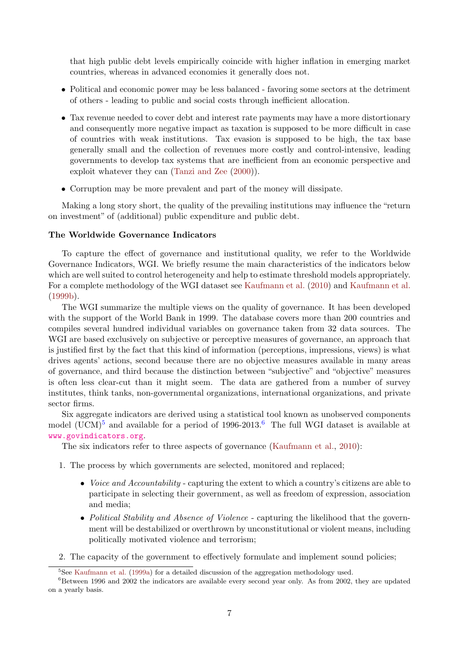that high public debt levels empirically coincide with higher inflation in emerging market countries, whereas in advanced economies it generally does not.

- Political and economic power may be less balanced favoring some sectors at the detriment of others - leading to public and social costs through inefficient allocation.
- Tax revenue needed to cover debt and interest rate payments may have a more distortionary and consequently more negative impact as taxation is supposed to be more difficult in case of countries with weak institutions. Tax evasion is supposed to be high, the tax base generally small and the collection of revenues more costly and control-intensive, leading governments to develop tax systems that are inefficient from an economic perspective and exploit whatever they can [\(Tanzi and Zee](#page-20-11) [\(2000\)](#page-20-11)).
- Corruption may be more prevalent and part of the money will dissipate.

Making a long story short, the quality of the prevailing institutions may influence the "return on investment" of (additional) public expenditure and public debt.

#### The Worldwide Governance Indicators

To capture the effect of governance and institutional quality, we refer to the Worldwide Governance Indicators, WGI. We briefly resume the main characteristics of the indicators below which are well suited to control heterogeneity and help to estimate threshold models appropriately. For a complete methodology of the WGI dataset see [Kaufmann et al.](#page-19-13) [\(2010\)](#page-19-13) and [Kaufmann et al.](#page-19-14) [\(1999b\)](#page-19-14).

The WGI summarize the multiple views on the quality of governance. It has been developed with the support of the World Bank in 1999. The database covers more than 200 countries and compiles several hundred individual variables on governance taken from 32 data sources. The WGI are based exclusively on subjective or perceptive measures of governance, an approach that is justified first by the fact that this kind of information (perceptions, impressions, views) is what drives agents' actions, second because there are no objective measures available in many areas of governance, and third because the distinction between "subjective" and "objective" measures is often less clear-cut than it might seem. The data are gathered from a number of survey institutes, think tanks, non-governmental organizations, international organizations, and private sector firms.

Six aggregate indicators are derived using a statistical tool known as unobserved components model  $(UCM)^5$  $(UCM)^5$  and available for a period of 199[6](#page-6-1)-2013.<sup>6</sup> The full WGI dataset is available at <www.govindicators.org>.

The six indicators refer to three aspects of governance [\(Kaufmann et al.,](#page-19-13) [2010\)](#page-19-13):

- 1. The process by which governments are selected, monitored and replaced;
	- *Voice and Accountability* capturing the extent to which a country's citizens are able to participate in selecting their government, as well as freedom of expression, association and media;
	- Political Stability and Absence of Violence capturing the likelihood that the government will be destabilized or overthrown by unconstitutional or violent means, including politically motivated violence and terrorism;
- 2. The capacity of the government to effectively formulate and implement sound policies;

<span id="page-6-1"></span><span id="page-6-0"></span><sup>&</sup>lt;sup>5</sup>See [Kaufmann et al.](#page-19-15) [\(1999a\)](#page-19-15) for a detailed discussion of the aggregation methodology used.

 ${}^{6}$ Between 1996 and 2002 the indicators are available every second year only. As from 2002, they are updated on a yearly basis.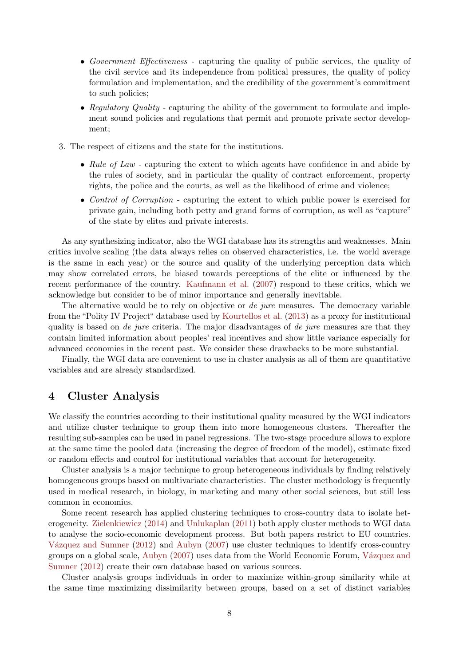- Government Effectiveness capturing the quality of public services, the quality of the civil service and its independence from political pressures, the quality of policy formulation and implementation, and the credibility of the government's commitment to such policies;
- Regulatory Quality capturing the ability of the government to formulate and implement sound policies and regulations that permit and promote private sector development;
- 3. The respect of citizens and the state for the institutions.
	- Rule of Law capturing the extent to which agents have confidence in and abide by the rules of society, and in particular the quality of contract enforcement, property rights, the police and the courts, as well as the likelihood of crime and violence;
	- Control of Corruption capturing the extent to which public power is exercised for private gain, including both petty and grand forms of corruption, as well as "capture" of the state by elites and private interests.

As any synthesizing indicator, also the WGI database has its strengths and weaknesses. Main critics involve scaling (the data always relies on observed characteristics, i.e. the world average is the same in each year) or the source and quality of the underlying perception data which may show correlated errors, be biased towards perceptions of the elite or influenced by the recent performance of the country. [Kaufmann et al.](#page-19-16) [\(2007\)](#page-19-16) respond to these critics, which we acknowledge but consider to be of minor importance and generally inevitable.

The alternative would be to rely on objective or *de jure* measures. The democracy variable from the "Polity IV Project" database used by [Kourtellos et al.](#page-19-0) [\(2013\)](#page-19-0) as a proxy for institutional quality is based on de jure criteria. The major disadvantages of de jure measures are that they contain limited information about peoples' real incentives and show little variance especially for advanced economies in the recent past. We consider these drawbacks to be more substantial.

Finally, the WGI data are convenient to use in cluster analysis as all of them are quantitative variables and are already standardized.

## 4 Cluster Analysis

We classify the countries according to their institutional quality measured by the WGI indicators and utilize cluster technique to group them into more homogeneous clusters. Thereafter the resulting sub-samples can be used in panel regressions. The two-stage procedure allows to explore at the same time the pooled data (increasing the degree of freedom of the model), estimate fixed or random effects and control for institutional variables that account for heterogeneity.

Cluster analysis is a major technique to group heterogeneous individuals by finding relatively homogeneous groups based on multivariate characteristics. The cluster methodology is frequently used in medical research, in biology, in marketing and many other social sciences, but still less common in economics.

Some recent research has applied clustering techniques to cross-country data to isolate heterogeneity. [Zielenkiewicz](#page-20-12) [\(2014\)](#page-20-12) and [Unlukaplan](#page-20-13) [\(2011\)](#page-20-13) both apply cluster methods to WGI data to analyse the socio-economic development process. But both papers restrict to EU countries. Vázquez and Sumner [\(2012\)](#page-20-14) and [Aubyn](#page-19-17) [\(2007\)](#page-19-17) use cluster techniques to identify cross-country groups on a global scale, [Aubyn](#page-19-17) [\(2007\)](#page-19-17) uses data from the World Economic Forum, Vázquez and [Sumner](#page-20-14) [\(2012\)](#page-20-14) create their own database based on various sources.

Cluster analysis groups individuals in order to maximize within-group similarity while at the same time maximizing dissimilarity between groups, based on a set of distinct variables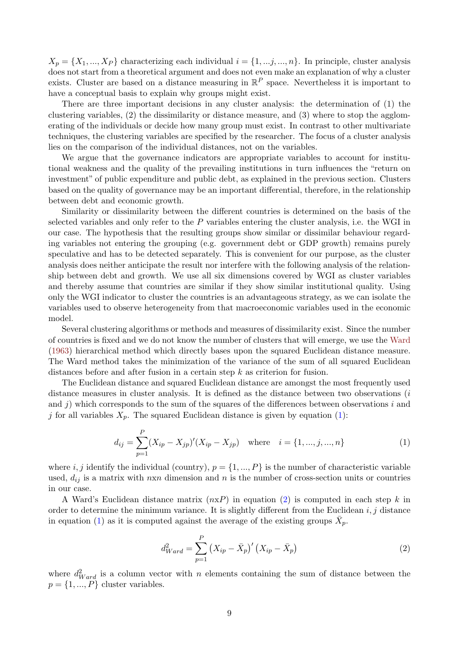$X_p = \{X_1, ..., X_p\}$  characterizing each individual  $i = \{1, ..., j, ..., n\}$ . In principle, cluster analysis does not start from a theoretical argument and does not even make an explanation of why a cluster exists. Cluster are based on a distance measuring in  $\mathbb{R}^P$  space. Nevertheless it is important to have a conceptual basis to explain why groups might exist.

There are three important decisions in any cluster analysis: the determination of (1) the clustering variables, (2) the dissimilarity or distance measure, and (3) where to stop the agglomerating of the individuals or decide how many group must exist. In contrast to other multivariate techniques, the clustering variables are specified by the researcher. The focus of a cluster analysis lies on the comparison of the individual distances, not on the variables.

We argue that the governance indicators are appropriate variables to account for institutional weakness and the quality of the prevailing institutions in turn influences the "return on investment" of public expenditure and public debt, as explained in the previous section. Clusters based on the quality of governance may be an important differential, therefore, in the relationship between debt and economic growth.

Similarity or dissimilarity between the different countries is determined on the basis of the selected variables and only refer to the  $P$  variables entering the cluster analysis, i.e. the WGI in our case. The hypothesis that the resulting groups show similar or dissimilar behaviour regarding variables not entering the grouping (e.g. government debt or GDP growth) remains purely speculative and has to be detected separately. This is convenient for our purpose, as the cluster analysis does neither anticipate the result nor interfere with the following analysis of the relationship between debt and growth. We use all six dimensions covered by WGI as cluster variables and thereby assume that countries are similar if they show similar institutional quality. Using only the WGI indicator to cluster the countries is an advantageous strategy, as we can isolate the variables used to observe heterogeneity from that macroeconomic variables used in the economic model.

Several clustering algorithms or methods and measures of dissimilarity exist. Since the number of countries is fixed and we do not know the number of clusters that will emerge, we use the [Ward](#page-20-15) [\(1963\)](#page-20-15) hierarchical method which directly bases upon the squared Euclidean distance measure. The Ward method takes the minimization of the variance of the sum of all squared Euclidean distances before and after fusion in a certain step k as criterion for fusion.

The Euclidean distance and squared Euclidean distance are amongst the most frequently used distance measures in cluster analysis. It is defined as the distance between two observations (i) and j) which corresponds to the sum of the squares of the differences between observations  $i$  and j for all variables  $X_p$ . The squared Euclidean distance is given by equation [\(1\)](#page-8-0):

<span id="page-8-0"></span>
$$
d_{ij} = \sum_{p=1}^{P} (X_{ip} - X_{jp})'(X_{ip} - X_{jp}) \quad \text{where} \quad i = \{1, ..., j, ..., n\}
$$
 (1)

where i, j identify the individual (country),  $p = \{1, ..., P\}$  is the number of characteristic variable used,  $d_{ij}$  is a matrix with  $n \times n$  dimension and n is the number of cross-section units or countries in our case.

A Ward's Euclidean distance matrix  $(n \times P)$  in equation [\(2\)](#page-8-1) is computed in each step k in order to determine the minimum variance. It is slightly different from the Euclidean  $i, j$  distance in equation [\(1\)](#page-8-0) as it is computed against the average of the existing groups  $\bar{X}_p$ .

<span id="page-8-1"></span>
$$
d_{Ward}^{2} = \sum_{p=1}^{P} (X_{ip} - \bar{X}_{p})' (X_{ip} - \bar{X}_{p})
$$
 (2)

where  $d_{Ward}^2$  is a column vector with n elements containing the sum of distance between the  $p = \{1, ..., P\}$  cluster variables.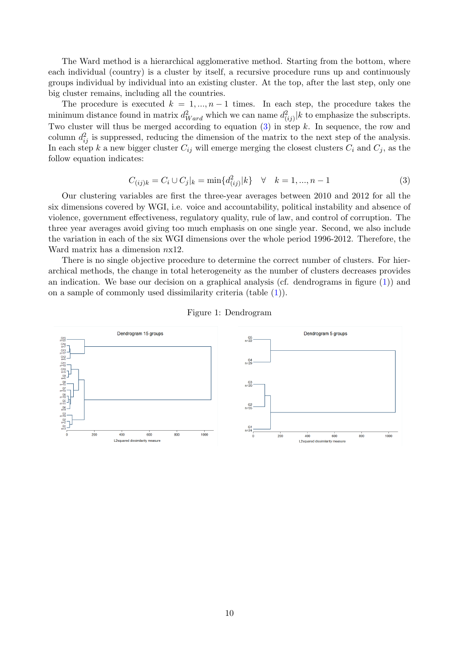The Ward method is a hierarchical agglomerative method. Starting from the bottom, where each individual (country) is a cluster by itself, a recursive procedure runs up and continuously groups individual by individual into an existing cluster. At the top, after the last step, only one big cluster remains, including all the countries.

The procedure is executed  $k = 1, ..., n-1$  times. In each step, the procedure takes the minimum distance found in matrix  $d_{Ward}^2$  which we can name  $d_{(ij)}^2 |k|$  to emphasize the subscripts. Two cluster will thus be merged according to equation  $(3)$  in step k. In sequence, the row and column  $d_{ij}^2$  is suppressed, reducing the dimension of the matrix to the next step of the analysis. In each step k a new bigger cluster  $C_{ij}$  will emerge merging the closest clusters  $C_i$  and  $C_j$ , as the follow equation indicates:

<span id="page-9-0"></span>
$$
C_{(ij)k} = C_i \cup C_j|_{k} = \min\{d_{(ij)}^2|k\} \quad \forall \quad k = 1, ..., n-1
$$
\n(3)

Our clustering variables are first the three-year averages between 2010 and 2012 for all the six dimensions covered by WGI, i.e. voice and accountability, political instability and absence of violence, government effectiveness, regulatory quality, rule of law, and control of corruption. The three year averages avoid giving too much emphasis on one single year. Second, we also include the variation in each of the six WGI dimensions over the whole period 1996-2012. Therefore, the Ward matrix has a dimension  $nx12$ .

There is no single objective procedure to determine the correct number of clusters. For hierarchical methods, the change in total heterogeneity as the number of clusters decreases provides an indication. We base our decision on a graphical analysis (cf. dendrograms in figure [\(1\)](#page-9-1)) and on a sample of commonly used dissimilarity criteria (table [\(1\)](#page-10-0)).

<span id="page-9-1"></span>

#### Figure 1: Dendrogram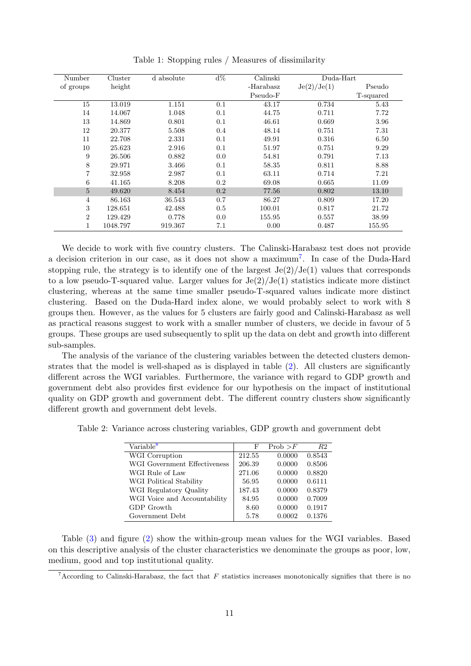<span id="page-10-0"></span>

| Number         | Cluster  | d absolute | $d\%$ | Calinski  | $Duda$ -Hart |           |
|----------------|----------|------------|-------|-----------|--------------|-----------|
| of groups      | height   |            |       | -Harabasz | Je(2)/Je(1)  | Pseudo    |
|                |          |            |       | Pseudo-F  |              | T-squared |
| 15             | 13.019   | 1.151      | 0.1   | 43.17     | 0.734        | 5.43      |
| 14             | 14.067   | 1.048      | 0.1   | 44.75     | 0.711        | 7.72      |
| 13             | 14.869   | 0.801      | 0.1   | 46.61     | 0.669        | 3.96      |
| 12             | 20.377   | 5.508      | 0.4   | 48.14     | 0.751        | 7.31      |
| 11             | 22.708   | 2.331      | 0.1   | 49.91     | 0.316        | 6.50      |
| 10             | 25.623   | 2.916      | 0.1   | 51.97     | 0.751        | 9.29      |
| 9              | 26.506   | 0.882      | 0.0   | 54.81     | 0.791        | 7.13      |
| 8              | 29.971   | 3.466      | 0.1   | 58.35     | 0.811        | 8.88      |
| $\overline{7}$ | 32.958   | 2.987      | 0.1   | 63.11     | 0.714        | 7.21      |
| 6              | 41.165   | 8.208      | 0.2   | 69.08     | 0.665        | 11.09     |
| $\overline{5}$ | 49.620   | 8.454      | 0.2   | 77.56     | 0.802        | 13.10     |
| $\overline{4}$ | 86.163   | 36.543     | 0.7   | 86.27     | 0.809        | 17.20     |
| 3              | 128.651  | 42.488     | 0.5   | 100.01    | 0.817        | 21.72     |
| $\overline{2}$ | 129.429  | 0.778      | 0.0   | 155.95    | 0.557        | 38.99     |
| 1              | 1048.797 | 919.367    | 7.1   | 0.00      | 0.487        | 155.95    |

Table 1: Stopping rules / Measures of dissimilarity

We decide to work with five country clusters. The Calinski-Harabasz test does not provide a decision criterion in our case, as it does not show a maximum<sup>[7](#page-10-1)</sup>. In case of the Duda-Hard stopping rule, the strategy is to identify one of the largest  $Je(2)/Je(1)$  values that corresponds to a low pseudo-T-squared value. Larger values for  $Je(2)/Je(1)$  statistics indicate more distinct clustering, whereas at the same time smaller pseudo-T-squared values indicate more distinct clustering. Based on the Duda-Hard index alone, we would probably select to work with 8 groups then. However, as the values for 5 clusters are fairly good and Calinski-Harabasz as well as practical reasons suggest to work with a smaller number of clusters, we decide in favour of 5 groups. These groups are used subsequently to split up the data on debt and growth into different sub-samples.

The analysis of the variance of the clustering variables between the detected clusters demonstrates that the model is well-shaped as is displayed in table [\(2\)](#page-10-2). All clusters are significantly different across the WGI variables. Furthermore, the variance with regard to GDP growth and government debt also provides first evidence for our hypothesis on the impact of institutional quality on GDP growth and government debt. The different country clusters show significantly different growth and government debt levels.

<span id="page-10-2"></span>Table 2: Variance across clustering variables, GDP growth and government debt

| Variable <sup>8</sup>        | F      | Prob > F | R2     |
|------------------------------|--------|----------|--------|
| WGI Corruption               | 212.55 | 0.0000   | 0.8543 |
| WGI Government Effectiveness | 206.39 | 0.0000   | 0.8506 |
| WGI Rule of Law              | 271.06 | 0.0000   | 0.8820 |
| WGI Political Stability      | 56.95  | 0.0000   | 0.6111 |
| WGI Regulatory Quality       | 187.43 | 0.0000   | 0.8379 |
| WGI Voice and Accountability | 84.95  | 0.0000   | 0.7009 |
| GDP Growth                   | 8.60   | 0.0000   | 0.1917 |
| Government Debt              | 5.78   | 0.0002   | 0.1376 |

Table [\(3\)](#page-11-1) and figure [\(2\)](#page-11-2) show the within-group mean values for the WGI variables. Based on this descriptive analysis of the cluster characteristics we denominate the groups as poor, low, medium, good and top institutional quality.

<span id="page-10-1"></span><sup>7</sup>According to Calinski-Harabasz, the fact that  $F$  statistics increases monotonically signifies that there is no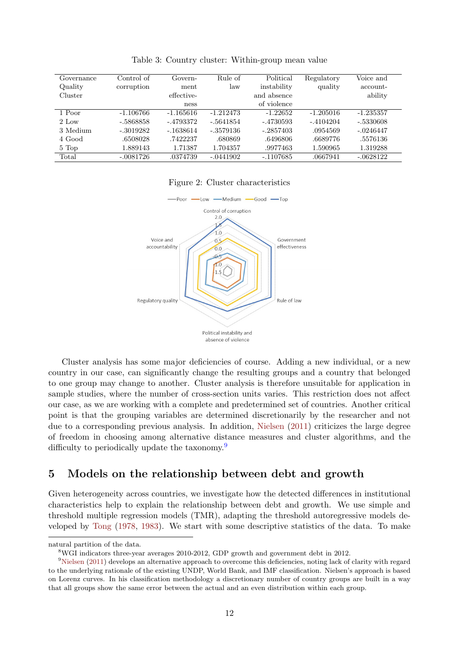<span id="page-11-1"></span>

| Governance | Control of  | Govern-     | Rule of     | Political   | Regulatory  | Voice and   |
|------------|-------------|-------------|-------------|-------------|-------------|-------------|
| Quality    | corruption  | ment        | law         | instability | quality     | account-    |
| Cluster    |             | effective-  |             | and absence |             | ability     |
|            |             | ness        |             | of violence |             |             |
| 1 Poor     | $-1.106766$ | $-1.165616$ | $-1.212473$ | $-1.22652$  | $-1.205016$ | $-1.235357$ |
| $2$ Low    | $-.5868858$ | $-.4793372$ | $-.5641854$ | -.4730593   | $-.4104204$ | -.5330608   |
| 3 Medium   | $-.3019282$ | $-.1638614$ | - 3579136   | $-.2857403$ | .0954569    | $-.0246447$ |
| 4 Good     | .6508028    | .7422237    | .680869     | .6496806    | .6689776    | .5576136    |
| 5 Top      | 1.889143    | 1.71387     | 1.704357    | .9977463    | 1.590965    | 1.319288    |
| Total      | $-.0081726$ | .0374739    | $-.0441902$ | $-.1107685$ | .0667941    | $-.0628122$ |

Table 3: Country cluster: Within-group mean value

#### Figure 2: Cluster characteristics

<span id="page-11-2"></span>

Cluster analysis has some major deficiencies of course. Adding a new individual, or a new country in our case, can significantly change the resulting groups and a country that belonged to one group may change to another. Cluster analysis is therefore unsuitable for application in sample studies, where the number of cross-section units varies. This restriction does not affect our case, as we are working with a complete and predetermined set of countries. Another critical point is that the grouping variables are determined discretionarily by the researcher and not due to a corresponding previous analysis. In addition, [Nielsen](#page-20-16) [\(2011\)](#page-20-16) criticizes the large degree of freedom in choosing among alternative distance measures and cluster algorithms, and the difficulty to periodically update the taxonomy.<sup>[9](#page-11-3)</sup>

# 5 Models on the relationship between debt and growth

Given heterogeneity across countries, we investigate how the detected differences in institutional characteristics help to explain the relationship between debt and growth. We use simple and threshold multiple regression models (TMR), adapting the threshold autoregressive models developed by [Tong](#page-20-17) [\(1978,](#page-20-17) [1983\)](#page-20-18). We start with some descriptive statistics of the data. To make

natural partition of the data.

<span id="page-11-3"></span><span id="page-11-0"></span><sup>8</sup>WGI indicators three-year averages 2010-2012, GDP growth and government debt in 2012.

 $9$ [Nielsen](#page-20-16) [\(2011\)](#page-20-16) develops an alternative approach to overcome this deficiencies, noting lack of clarity with regard to the underlying rationale of the existing UNDP, World Bank, and IMF classification. Nielsen's approach is based on Lorenz curves. In his classification methodology a discretionary number of country groups are built in a way that all groups show the same error between the actual and an even distribution within each group.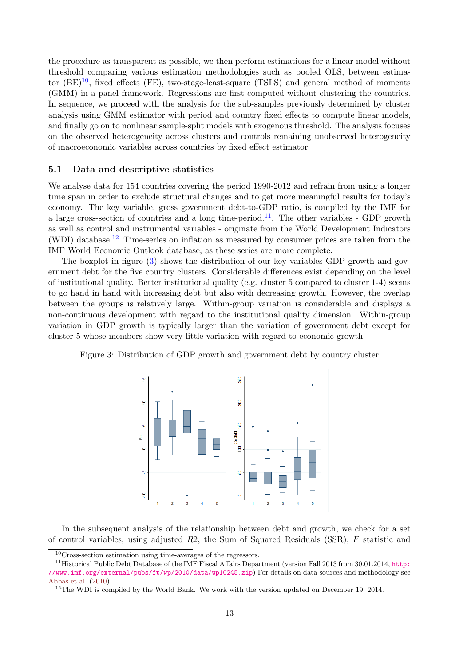the procedure as transparent as possible, we then perform estimations for a linear model without threshold comparing various estimation methodologies such as pooled OLS, between estimator  $(BE)^{10}$  $(BE)^{10}$  $(BE)^{10}$ , fixed effects (FE), two-stage-least-square (TSLS) and general method of moments (GMM) in a panel framework. Regressions are first computed without clustering the countries. In sequence, we proceed with the analysis for the sub-samples previously determined by cluster analysis using GMM estimator with period and country fixed effects to compute linear models, and finally go on to nonlinear sample-split models with exogenous threshold. The analysis focuses on the observed heterogeneity across clusters and controls remaining unobserved heterogeneity of macroeconomic variables across countries by fixed effect estimator.

### 5.1 Data and descriptive statistics

We analyse data for 154 countries covering the period 1990-2012 and refrain from using a longer time span in order to exclude structural changes and to get more meaningful results for today's economy. The key variable, gross government debt-to-GDP ratio, is compiled by the IMF for a large cross-section of countries and a long time-period.<sup>[11](#page-12-1)</sup>. The other variables - GDP growth as well as control and instrumental variables - originate from the World Development Indicators (WDI) database.<sup>[12](#page-12-2)</sup> Time-series on inflation as measured by consumer prices are taken from the IMF World Economic Outlook database, as these series are more complete.

The boxplot in figure [\(3\)](#page-12-3) shows the distribution of our key variables GDP growth and government debt for the five country clusters. Considerable differences exist depending on the level of institutional quality. Better institutional quality (e.g. cluster 5 compared to cluster 1-4) seems to go hand in hand with increasing debt but also with decreasing growth. However, the overlap between the groups is relatively large. Within-group variation is considerable and displays a non-continuous development with regard to the institutional quality dimension. Within-group variation in GDP growth is typically larger than the variation of government debt except for cluster 5 whose members show very little variation with regard to economic growth.



<span id="page-12-3"></span>Figure 3: Distribution of GDP growth and government debt by country cluster

In the subsequent analysis of the relationship between debt and growth, we check for a set of control variables, using adjusted  $R2$ , the Sum of Squared Residuals (SSR), F statistic and

<span id="page-12-1"></span><span id="page-12-0"></span><sup>10</sup>Cross-section estimation using time-averages of the regressors.

<sup>&</sup>lt;sup>11</sup>Historical Public Debt Database of the IMF Fiscal Affairs Department (version Fall 2013 from 30.01.2014, [http:](http://www.imf.org/external/pubs/ft/wp/2010/data/wp10245.zip) [//www.imf.org/external/pubs/ft/wp/2010/data/wp10245.zip](http://www.imf.org/external/pubs/ft/wp/2010/data/wp10245.zip)) For details on data sources and methodology see [Abbas et al.](#page-19-18) [\(2010\)](#page-19-18).

<span id="page-12-2"></span> $12$ The WDI is compiled by the World Bank. We work with the version updated on December 19, 2014.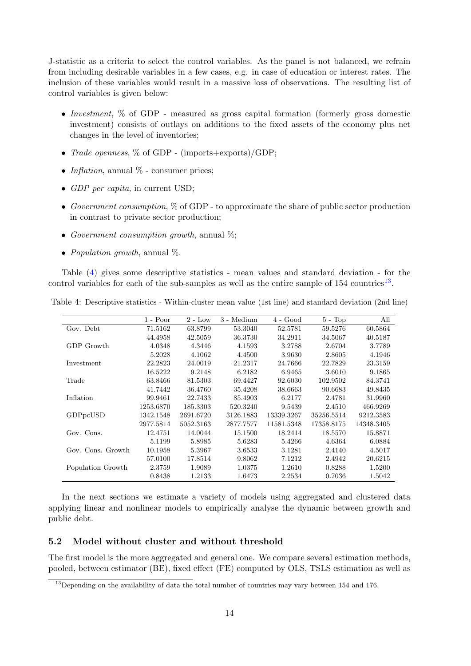J-statistic as a criteria to select the control variables. As the panel is not balanced, we refrain from including desirable variables in a few cases, e.g. in case of education or interest rates. The inclusion of these variables would result in a massive loss of observations. The resulting list of control variables is given below:

- Investment,  $\%$  of GDP measured as gross capital formation (formerly gross domestic investment) consists of outlays on additions to the fixed assets of the economy plus net changes in the level of inventories;
- *Trade openness*,  $\%$  of GDP (imports+exports)/GDP;
- Inflation, annual  $\%$  consumer prices;
- GDP per capita, in current USD;
- Government consumption,  $\%$  of GDP to approximate the share of public sector production in contrast to private sector production;
- Government consumption growth, annual  $\%$ ;
- Population growth, annual  $\%$ .

Table [\(4\)](#page-13-0) gives some descriptive statistics - mean values and standard deviation - for the control variables for each of the sub-samples as well as the entire sample of  $154$  countries<sup>[13](#page-13-1)</sup>.

|                   | $1 - Poor$ | $2 - Low$ | 3 - Medium | $4 - Good$ | $5 - Top$  | All        |
|-------------------|------------|-----------|------------|------------|------------|------------|
| Gov. Debt         | 71.5162    | 63.8799   | 53.3040    | 52.5781    | 59.5276    | 60.5864    |
|                   | 44.4958    | 42.5059   | 36.3730    | 34.2911    | 34.5067    | 40.5187    |
| GDP Growth        | 4.0348     | 4.3446    | 4.1593     | 3.2788     | 2.6704     | 3.7789     |
|                   | 5.2028     | 4.1062    | 4.4500     | 3.9630     | 2.8605     | 4.1946     |
| Investment        | 22.2823    | 24.0019   | 21.2317    | 24.7666    | 22.7829    | 23.3159    |
|                   | 16.5222    | 9.2148    | 6.2182     | 6.9465     | 3.6010     | 9.1865     |
| Trade             | 63.8466    | 81.5303   | 69.4427    | 92.6030    | 102.9502   | 84.3741    |
|                   | 41.7442    | 36.4760   | 35.4208    | 38.6663    | 90.6683    | 49.8435    |
| Inflation         | 99.9461    | 22.7433   | 85.4903    | 6.2177     | 2.4781     | 31.9960    |
|                   | 1253.6870  | 185.3303  | 520.3240   | 9.5439     | 2.4510     | 466.9269   |
| GDPpcUSD          | 1342.1548  | 2691.6720 | 3126.1883  | 13339.3267 | 35256.5514 | 9212.3583  |
|                   | 2977.5814  | 5052.3163 | 2877.7577  | 11581.5348 | 17358.8175 | 14348.3405 |
| Gov. Cons.        | 12.4751    | 14.0044   | 15.1500    | 18.2414    | 18.5570    | 15.8871    |
|                   | 5.1199     | 5.8985    | 5.6283     | 5.4266     | 4.6364     | 6.0884     |
| Gov. Cons. Growth | 10.1958    | 5.3967    | 3.6533     | 3.1281     | 2.4140     | 4.5017     |
|                   | 57.0100    | 17.8514   | 9.8062     | 7.1212     | 2.4942     | 20.6215    |
| Population Growth | 2.3759     | 1.9089    | 1.0375     | 1.2610     | 0.8288     | 1.5200     |
|                   | 0.8438     | 1.2133    | 1.6473     | 2.2534     | 0.7036     | 1.5042     |

<span id="page-13-0"></span>Table 4: Descriptive statistics - Within-cluster mean value (1st line) and standard deviation (2nd line)

In the next sections we estimate a variety of models using aggregated and clustered data applying linear and nonlinear models to empirically analyse the dynamic between growth and public debt.

### 5.2 Model without cluster and without threshold

The first model is the more aggregated and general one. We compare several estimation methods, pooled, between estimator (BE), fixed effect (FE) computed by OLS, TSLS estimation as well as

<span id="page-13-1"></span><sup>&</sup>lt;sup>13</sup>Depending on the availability of data the total number of countries may vary between 154 and 176.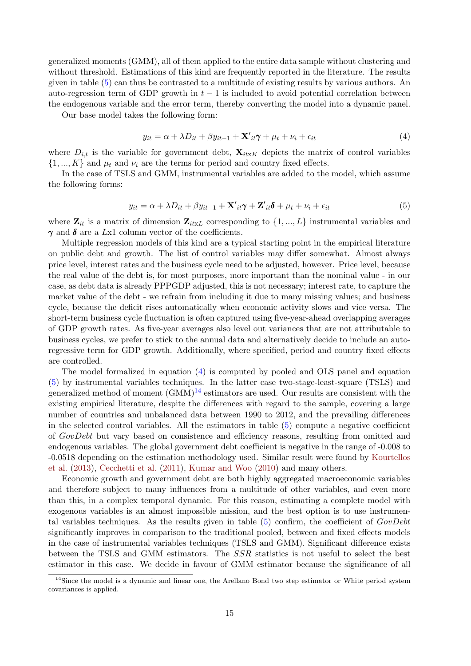generalized moments (GMM), all of them applied to the entire data sample without clustering and without threshold. Estimations of this kind are frequently reported in the literature. The results given in table [\(5\)](#page-15-0) can thus be contrasted to a multitude of existing results by various authors. An auto-regression term of GDP growth in  $t-1$  is included to avoid potential correlation between the endogenous variable and the error term, thereby converting the model into a dynamic panel.

Our base model takes the following form:

<span id="page-14-0"></span>
$$
y_{it} = \alpha + \lambda D_{it} + \beta y_{it-1} + \mathbf{X'}_{it}\boldsymbol{\gamma} + \mu_t + \nu_i + \epsilon_{it}
$$
\n<sup>(4)</sup>

where  $D_{i,t}$  is the variable for government debt,  $\mathbf{X}_{itxK}$  depicts the matrix of control variables  $\{1, ..., K\}$  and  $\mu_t$  and  $\nu_i$  are the terms for period and country fixed effects.

In the case of TSLS and GMM, instrumental variables are added to the model, which assume the following forms:

<span id="page-14-1"></span>
$$
y_{it} = \alpha + \lambda D_{it} + \beta y_{it-1} + \mathbf{X'}_{it}\boldsymbol{\gamma} + \mathbf{Z'}_{it}\boldsymbol{\delta} + \mu_t + \nu_i + \epsilon_{it}
$$
(5)

where  $\mathbf{Z}_{it}$  is a matrix of dimension  $\mathbf{Z}_{itxL}$  corresponding to  $\{1, ..., L\}$  instrumental variables and  $\gamma$  and  $\delta$  are a Lx1 column vector of the coefficients.

Multiple regression models of this kind are a typical starting point in the empirical literature on public debt and growth. The list of control variables may differ somewhat. Almost always price level, interest rates and the business cycle need to be adjusted, however. Price level, because the real value of the debt is, for most purposes, more important than the nominal value - in our case, as debt data is already PPPGDP adjusted, this is not necessary; interest rate, to capture the market value of the debt - we refrain from including it due to many missing values; and business cycle, because the deficit rises automatically when economic activity slows and vice versa. The short-term business cycle fluctuation is often captured using five-year-ahead overlapping averages of GDP growth rates. As five-year averages also level out variances that are not attributable to business cycles, we prefer to stick to the annual data and alternatively decide to include an autoregressive term for GDP growth. Additionally, where specified, period and country fixed effects are controlled.

The model formalized in equation [\(4\)](#page-14-0) is computed by pooled and OLS panel and equation [\(5\)](#page-14-1) by instrumental variables techniques. In the latter case two-stage-least-square (TSLS) and generalized method of moment  $(GMM)^{14}$  $(GMM)^{14}$  $(GMM)^{14}$  estimators are used. Our results are consistent with the existing empirical literature, despite the differences with regard to the sample, covering a large number of countries and unbalanced data between 1990 to 2012, and the prevailing differences in the selected control variables. All the estimators in table [\(5\)](#page-15-0) compute a negative coefficient of GovDebt but vary based on consistence and efficiency reasons, resulting from omitted and endogenous variables. The global government debt coefficient is negative in the range of -0.008 to -0.0518 depending on the estimation methodology used. Similar result were found by [Kourtellos](#page-19-0) [et al.](#page-19-0) [\(2013\)](#page-19-0), [Cecchetti et al.](#page-19-11) [\(2011\)](#page-19-11), [Kumar and Woo](#page-19-5) [\(2010\)](#page-19-5) and many others.

Economic growth and government debt are both highly aggregated macroeconomic variables and therefore subject to many influences from a multitude of other variables, and even more than this, in a complex temporal dynamic. For this reason, estimating a complete model with exogenous variables is an almost impossible mission, and the best option is to use instrumental variables techniques. As the results given in table  $(5)$  confirm, the coefficient of  $GovDebt$ significantly improves in comparison to the traditional pooled, between and fixed effects models in the case of instrumental variables techniques (TSLS and GMM). Significant difference exists between the TSLS and GMM estimators. The SSR statistics is not useful to select the best estimator in this case. We decide in favour of GMM estimator because the significance of all

<span id="page-14-2"></span><sup>&</sup>lt;sup>14</sup>Since the model is a dynamic and linear one, the Arellano Bond two step estimator or White period system covariances is applied.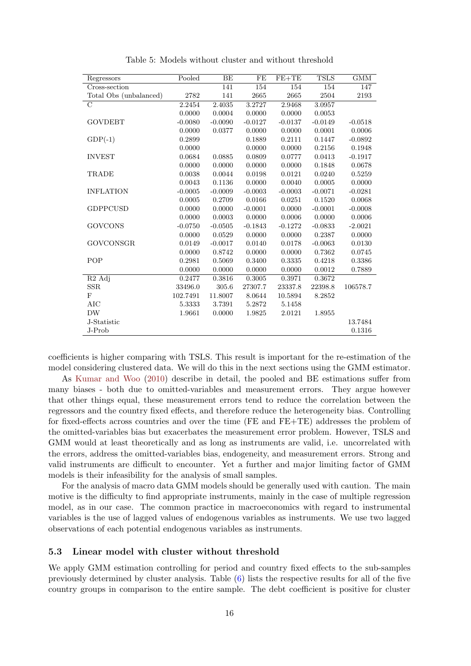<span id="page-15-0"></span>

| Regressors                  | Pooled    | BE        | FE        | $FE+TE$   | <b>TSLS</b> | <b>GMM</b> |
|-----------------------------|-----------|-----------|-----------|-----------|-------------|------------|
| Cross-section               |           | 141       | 154       | 154       | 154         | 147        |
| Total Obs (unbalanced)      | 2782      | 141       | 2665      | 2665      | 2504        | 2193       |
| $\rm C$                     | 2.2454    | 2.4035    | 3.2727    | 2.9468    | 3.0957      |            |
|                             | 0.0000    | 0.0004    | 0.0000    | 0.0000    | 0.0053      |            |
| <b>GOVDEBT</b>              | $-0.0080$ | $-0.0090$ | $-0.0127$ | $-0.0137$ | $-0.0149$   | $-0.0518$  |
|                             | 0.0000    | 0.0377    | 0.0000    | 0.0000    | 0.0001      | 0.0006     |
| $GDP(-1)$                   | 0.2899    |           | 0.1889    | 0.2111    | 0.1447      | $-0.0892$  |
|                             | 0.0000    |           | 0.0000    | 0.0000    | 0.2156      | 0.1948     |
| <b>INVEST</b>               | 0.0684    | 0.0885    | 0.0809    | 0.0777    | 0.0413      | $-0.1917$  |
|                             | 0.0000    | 0.0000    | 0.0000    | 0.0000    | 0.1848      | 0.0678     |
| TRADE                       | 0.0038    | 0.0044    | 0.0198    | 0.0121    | 0.0240      | 0.5259     |
|                             | 0.0043    | 0.1136    | 0.0000    | 0.0040    | 0.0005      | 0.0000     |
| <b>INFLATION</b>            | $-0.0005$ | $-0.0009$ | $-0.0003$ | $-0.0003$ | $-0.0071$   | $-0.0281$  |
|                             | 0.0005    | 0.2709    | 0.0166    | 0.0251    | 0.1520      | 0.0068     |
| <b>GDPPCUSD</b>             | 0.0000    | 0.0000    | $-0.0001$ | 0.0000    | $-0.0001$   | $-0.0008$  |
|                             | 0.0000    | 0.0003    | 0.0000    | 0.0006    | 0.0000      | 0.0006     |
| <b>GOVCONS</b>              | $-0.0750$ | $-0.0505$ | $-0.1843$ | $-0.1272$ | $-0.0833$   | $-2.0021$  |
|                             | 0.0000    | 0.0529    | 0.0000    | 0.0000    | 0.2387      | 0.0000     |
| <b>GOVCONSGR</b>            | 0.0149    | $-0.0017$ | 0.0140    | 0.0178    | $-0.0063$   | 0.0130     |
|                             | 0.0000    | 0.8742    | 0.0000    | 0.0000    | 0.7362      | 0.0745     |
| POP                         | 0.2981    | 0.5069    | 0.3400    | 0.3335    | 0.4218      | 0.3386     |
|                             | 0.0000    | 0.0000    | 0.0000    | 0.0000    | 0.0012      | 0.7889     |
| $\overline{R2 \text{ Adj}}$ | 0.2477    | 0.3816    | 0.3005    | 0.3971    | 0.3672      |            |
| $_{\rm SSR}$                | 33496.0   | 305.6     | 27307.7   | 23337.8   | 22398.8     | 106578.7   |
| F                           | 102.7491  | 11.8007   | 8.0644    | 10.5894   | 8.2852      |            |
| <b>AIC</b>                  | 5.3333    | 3.7391    | 5.2872    | 5.1458    |             |            |
| <b>DW</b>                   | 1.9661    | 0.0000    | 1.9825    | 2.0121    | 1.8955      |            |
| J-Statistic                 |           |           |           |           |             | 13.7484    |
| J-Prob                      |           |           |           |           |             | 0.1316     |

Table 5: Models without cluster and without threshold

coefficients is higher comparing with TSLS. This result is important for the re-estimation of the model considering clustered data. We will do this in the next sections using the GMM estimator.

As [Kumar and Woo](#page-19-5) [\(2010\)](#page-19-5) describe in detail, the pooled and BE estimations suffer from many biases - both due to omitted-variables and measurement errors. They argue however that other things equal, these measurement errors tend to reduce the correlation between the regressors and the country fixed effects, and therefore reduce the heterogeneity bias. Controlling for fixed-effects across countries and over the time (FE and FE+TE) addresses the problem of the omitted-variables bias but exacerbates the measurement error problem. However, TSLS and GMM would at least theoretically and as long as instruments are valid, i.e. uncorrelated with the errors, address the omitted-variables bias, endogeneity, and measurement errors. Strong and valid instruments are difficult to encounter. Yet a further and major limiting factor of GMM models is their infeasibility for the analysis of small samples.

For the analysis of macro data GMM models should be generally used with caution. The main motive is the difficulty to find appropriate instruments, mainly in the case of multiple regression model, as in our case. The common practice in macroeconomics with regard to instrumental variables is the use of lagged values of endogenous variables as instruments. We use two lagged observations of each potential endogenous variables as instruments.

### 5.3 Linear model with cluster without threshold

We apply GMM estimation controlling for period and country fixed effects to the sub-samples previously determined by cluster analysis. Table [\(6\)](#page-17-0) lists the respective results for all of the five country groups in comparison to the entire sample. The debt coefficient is positive for cluster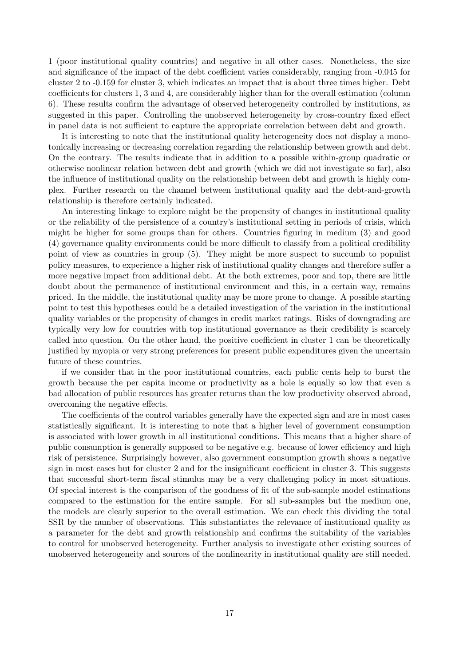1 (poor institutional quality countries) and negative in all other cases. Nonetheless, the size and significance of the impact of the debt coefficient varies considerably, ranging from -0.045 for cluster 2 to -0.159 for cluster 3, which indicates an impact that is about three times higher. Debt coefficients for clusters 1, 3 and 4, are considerably higher than for the overall estimation (column 6). These results confirm the advantage of observed heterogeneity controlled by institutions, as suggested in this paper. Controlling the unobserved heterogeneity by cross-country fixed effect in panel data is not sufficient to capture the appropriate correlation between debt and growth.

It is interesting to note that the institutional quality heterogeneity does not display a monotonically increasing or decreasing correlation regarding the relationship between growth and debt. On the contrary. The results indicate that in addition to a possible within-group quadratic or otherwise nonlinear relation between debt and growth (which we did not investigate so far), also the influence of institutional quality on the relationship between debt and growth is highly complex. Further research on the channel between institutional quality and the debt-and-growth relationship is therefore certainly indicated.

An interesting linkage to explore might be the propensity of changes in institutional quality or the reliability of the persistence of a country's institutional setting in periods of crisis, which might be higher for some groups than for others. Countries figuring in medium (3) and good (4) governance quality environments could be more difficult to classify from a political credibility point of view as countries in group (5). They might be more suspect to succumb to populist policy measures, to experience a higher risk of institutional quality changes and therefore suffer a more negative impact from additional debt. At the both extremes, poor and top, there are little doubt about the permanence of institutional environment and this, in a certain way, remains priced. In the middle, the institutional quality may be more prone to change. A possible starting point to test this hypotheses could be a detailed investigation of the variation in the institutional quality variables or the propensity of changes in credit market ratings. Risks of downgrading are typically very low for countries with top institutional governance as their credibility is scarcely called into question. On the other hand, the positive coefficient in cluster 1 can be theoretically justified by myopia or very strong preferences for present public expenditures given the uncertain future of these countries.

if we consider that in the poor institutional countries, each public cents help to burst the growth because the per capita income or productivity as a hole is equally so low that even a bad allocation of public resources has greater returns than the low productivity observed abroad, overcoming the negative effects.

The coefficients of the control variables generally have the expected sign and are in most cases statistically significant. It is interesting to note that a higher level of government consumption is associated with lower growth in all institutional conditions. This means that a higher share of public consumption is generally supposed to be negative e.g. because of lower efficiency and high risk of persistence. Surprisingly however, also government consumption growth shows a negative sign in most cases but for cluster 2 and for the insignificant coefficient in cluster 3. This suggests that successful short-term fiscal stimulus may be a very challenging policy in most situations. Of special interest is the comparison of the goodness of fit of the sub-sample model estimations compared to the estimation for the entire sample. For all sub-samples but the medium one, the models are clearly superior to the overall estimation. We can check this dividing the total SSR by the number of observations. This substantiates the relevance of institutional quality as a parameter for the debt and growth relationship and confirms the suitability of the variables to control for unobserved heterogeneity. Further analysis to investigate other existing sources of unobserved heterogeneity and sources of the nonlinearity in institutional quality are still needed.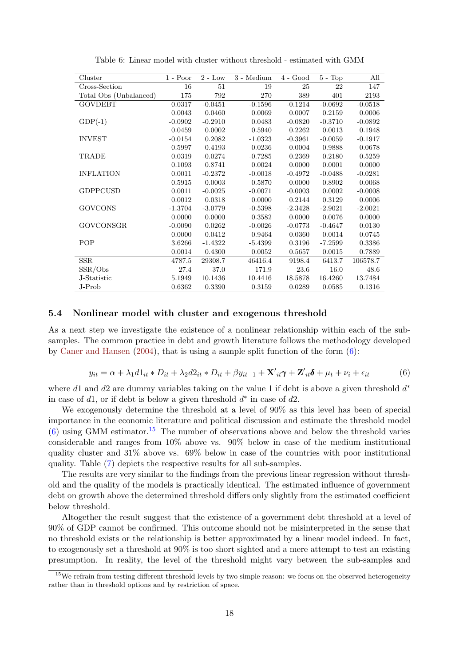<span id="page-17-0"></span>

| Cluster                | $1 - Poor$ | $2$ - Low | 3 - Medium | $4 - Good$ | $5 - Top$ | All       |
|------------------------|------------|-----------|------------|------------|-----------|-----------|
| Cross-Section          | 16         | $51\,$    | 19         | $25\,$     | 22        | 147       |
| Total Obs (Unbalanced) | 175        | 792       | 270        | 389        | 401       | 2193      |
| <b>GOVDEBT</b>         | 0.0317     | $-0.0451$ | $-0.1596$  | $-0.1214$  | $-0.0692$ | $-0.0518$ |
|                        | 0.0043     | 0.0460    | 0.0069     | 0.0007     | 0.2159    | 0.0006    |
| $GDP(-1)$              | $-0.0902$  | $-0.2910$ | 0.0483     | $-0.0820$  | $-0.3710$ | $-0.0892$ |
|                        | 0.0459     | 0.0002    | 0.5940     | 0.2262     | 0.0013    | 0.1948    |
| <b>INVEST</b>          | $-0.0154$  | 0.2082    | $-1.0323$  | $-0.3961$  | $-0.0059$ | $-0.1917$ |
|                        | 0.5997     | 0.4193    | 0.0236     | 0.0004     | 0.9888    | 0.0678    |
| TRADE                  | 0.0319     | $-0.0274$ | $-0.7285$  | 0.2369     | 0.2180    | 0.5259    |
|                        | 0.1093     | 0.8741    | 0.0024     | 0.0000     | 0.0001    | 0.0000    |
| <b>INFLATION</b>       | 0.0011     | $-0.2372$ | $-0.0018$  | $-0.4972$  | $-0.0488$ | $-0.0281$ |
|                        | 0.5915     | 0.0003    | 0.5870     | 0.0000     | 0.8902    | 0.0068    |
| <b>GDPPCUSD</b>        | 0.0011     | $-0.0025$ | $-0.0071$  | $-0.0003$  | 0.0002    | $-0.0008$ |
|                        | 0.0012     | 0.0318    | 0.0000     | 0.2144     | 0.3129    | 0.0006    |
| <b>GOVCONS</b>         | $-1.3704$  | $-3.0779$ | $-0.5398$  | $-2.3428$  | $-2.9021$ | $-2.0021$ |
|                        | 0.0000     | 0.0000    | 0.3582     | 0.0000     | 0.0076    | 0.0000    |
| <b>GOVCONSGR</b>       | $-0.0090$  | 0.0262    | $-0.0026$  | $-0.0773$  | $-0.4647$ | 0.0130    |
|                        | 0.0000     | 0.0412    | 0.9464     | 0.0360     | 0.0014    | 0.0745    |
| POP                    | 3.6266     | $-1.4322$ | $-5.4399$  | 0.3196     | $-7.2599$ | 0.3386    |
|                        | 0.0014     | 0.4300    | 0.0052     | 0.5657     | 0.0015    | 0.7889    |
| SSR                    | 4787.5     | 29308.7   | 46416.4    | 9198.4     | 6413.7    | 106578.7  |
| SSR/Obs                | 27.4       | 37.0      | 171.9      | 23.6       | 16.0      | 48.6      |
| J-Statistic            | 5.1949     | 10.1436   | 10.4416    | 18.5878    | 16.4260   | 13.7484   |
| J-Prob                 | 0.6362     | 0.3390    | 0.3159     | 0.0289     | 0.0585    | 0.1316    |

Table 6: Linear model with cluster without threshold - estimated with GMM

#### 5.4 Nonlinear model with cluster and exogenous threshold

As a next step we investigate the existence of a nonlinear relationship within each of the subsamples. The common practice in debt and growth literature follows the methodology developed by [Caner and Hansen](#page-19-19) [\(2004\)](#page-19-19), that is using a sample split function of the form [\(6\)](#page-17-1):

<span id="page-17-1"></span>
$$
y_{it} = \alpha + \lambda_1 d1_{it} * D_{it} + \lambda_2 d2_{it} * D_{it} + \beta y_{it-1} + \mathbf{X'}_{it} \boldsymbol{\gamma} + \mathbf{Z'}_{it} \boldsymbol{\delta} + \mu_t + \nu_i + \epsilon_{it}
$$
(6)

where  $d1$  and  $d2$  are dummy variables taking on the value 1 if debt is above a given threshold  $d^*$ in case of  $d1$ , or if debt is below a given threshold  $d^*$  in case of  $d2$ .

We exogenously determine the threshold at a level of 90% as this level has been of special importance in the economic literature and political discussion and estimate the threshold model  $(6)$  using GMM estimator.<sup>[15](#page-17-2)</sup> The number of observations above and below the threshold varies considerable and ranges from 10% above vs. 90% below in case of the medium institutional quality cluster and 31% above vs. 69% below in case of the countries with poor institutional quality. Table [\(7\)](#page-18-0) depicts the respective results for all sub-samples.

The results are very similar to the findings from the previous linear regression without threshold and the quality of the models is practically identical. The estimated influence of government debt on growth above the determined threshold differs only slightly from the estimated coefficient below threshold.

Altogether the result suggest that the existence of a government debt threshold at a level of 90% of GDP cannot be confirmed. This outcome should not be misinterpreted in the sense that no threshold exists or the relationship is better approximated by a linear model indeed. In fact, to exogenously set a threshold at 90% is too short sighted and a mere attempt to test an existing presumption. In reality, the level of the threshold might vary between the sub-samples and

<span id="page-17-2"></span> $15$ We refrain from testing different threshold levels by two simple reason: we focus on the observed heterogeneity rather than in threshold options and by restriction of space.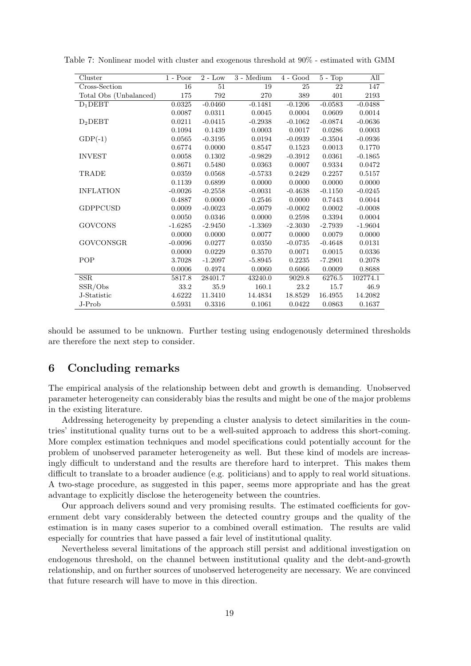| Cluster                | $1 - Poor$ | $2 - Low$  | 3 - Medium | $4 - Good$ | $5 - Top$  | All       |
|------------------------|------------|------------|------------|------------|------------|-----------|
| Cross-Section          | 16         | 51         | 19         | 25         | 22         | 147       |
| Total Obs (Unbalanced) | 175        | 792        | 270        | 389        | 401        | 2193      |
| $D_1$ $DEBT$           | 0.0325     | $-0.0460$  | $-0.1481$  | $-0.1206$  | $-0.0583$  | $-0.0488$ |
|                        | 0.0087     | 0.0311     | 0.0045     | 0.0004     | 0.0609     | 0.0014    |
| D <sub>2</sub> DEBT    | 0.0211     | $-0.0415$  | $-0.2938$  | $-0.1062$  | $-0.0874$  | $-0.0636$ |
|                        | 0.1094     | 0.1439     | 0.0003     | 0.0017     | 0.0286     | 0.0003    |
| $GDP(-1)$              | 0.0565     | $-0.3195$  | 0.0194     | $-0.0939$  | $-0.3504$  | $-0.0936$ |
|                        | 0.6774     | 0.0000     | 0.8547     | 0.1523     | 0.0013     | 0.1770    |
| <b>INVEST</b>          | 0.0058     | 0.1302     | $-0.9829$  | $-0.3912$  | 0.0361     | $-0.1865$ |
|                        | 0.8671     | 0.5480     | 0.0363     | 0.0007     | 0.9334     | 0.0472    |
| TRADE                  | 0.0359     | $0.0568\,$ | $-0.5733$  | $0.2429\,$ | 0.2257     | 0.5157    |
|                        | 0.1139     | 0.6899     | 0.0000     | 0.0000     | 0.0000     | 0.0000    |
| <b>INFLATION</b>       | $-0.0026$  | $-0.2558$  | $-0.0031$  | $-0.4638$  | $-0.1150$  | $-0.0245$ |
|                        | 0.4887     | 0.0000     | 0.2546     | 0.0000     | 0.7443     | 0.0044    |
| <b>GDPPCUSD</b>        | 0.0009     | $-0.0023$  | $-0.0079$  | $-0.0002$  | 0.0002     | $-0.0008$ |
|                        | 0.0050     | 0.0346     | 0.0000     | 0.2598     | 0.3394     | 0.0004    |
| <b>GOVCONS</b>         | $-1.6285$  | $-2.9450$  | $-1.3369$  | $-2.3030$  | $-2.7939$  | $-1.9604$ |
|                        | 0.0000     | 0.0000     | 0.0077     | 0.0000     | 0.0079     | 0.0000    |
| <b>GOVCONSGR</b>       | $-0.0096$  | 0.0277     | 0.0350     | $-0.0735$  | $-0.4648$  | 0.0131    |
|                        | 0.0000     | 0.0229     | 0.3570     | 0.0071     | $0.0015\,$ | 0.0336    |
| POP                    | 3.7028     | $-1.2097$  | $-5.8945$  | 0.2235     | $-7.2901$  | 0.2078    |
|                        | 0.0006     | 0.4974     | 0.0060     | 0.6066     | 0.0009     | 0.8688    |
| SSR                    | 5817.8     | 28401.7    | 43240.0    | 9029.8     | 6276.5     | 102774.1  |
| SSR/Obs                | 33.2       | 35.9       | 160.1      | 23.2       | 15.7       | 46.9      |
| J-Statistic            | 4.6222     | 11.3410    | 14.4834    | 18.8529    | 16.4955    | 14.2082   |
| J-Prob                 | 0.5931     | 0.3316     | 0.1061     | 0.0422     | 0.0863     | 0.1637    |

<span id="page-18-0"></span>Table 7: Nonlinear model with cluster and exogenous threshold at 90% - estimated with GMM

should be assumed to be unknown. Further testing using endogenously determined thresholds are therefore the next step to consider.

# 6 Concluding remarks

The empirical analysis of the relationship between debt and growth is demanding. Unobserved parameter heterogeneity can considerably bias the results and might be one of the major problems in the existing literature.

Addressing heterogeneity by prepending a cluster analysis to detect similarities in the countries' institutional quality turns out to be a well-suited approach to address this short-coming. More complex estimation techniques and model specifications could potentially account for the problem of unobserved parameter heterogeneity as well. But these kind of models are increasingly difficult to understand and the results are therefore hard to interpret. This makes them difficult to translate to a broader audience (e.g. politicians) and to apply to real world situations. A two-stage procedure, as suggested in this paper, seems more appropriate and has the great advantage to explicitly disclose the heterogeneity between the countries.

Our approach delivers sound and very promising results. The estimated coefficients for government debt vary considerably between the detected country groups and the quality of the estimation is in many cases superior to a combined overall estimation. The results are valid especially for countries that have passed a fair level of institutional quality.

Nevertheless several limitations of the approach still persist and additional investigation on endogenous threshold, on the channel between institutional quality and the debt-and-growth relationship, and on further sources of unobserved heterogeneity are necessary. We are convinced that future research will have to move in this direction.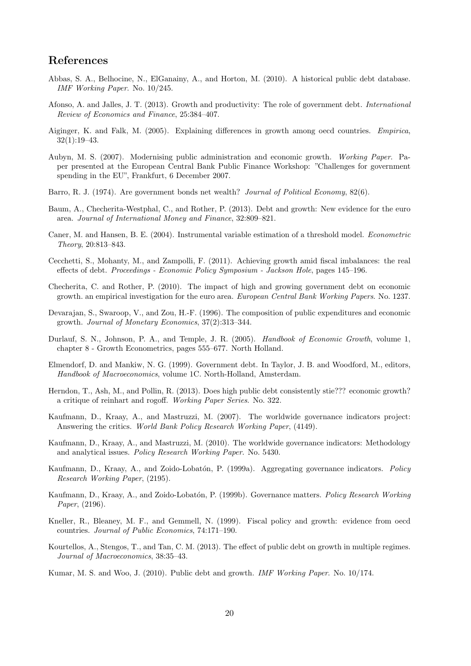# References

- <span id="page-19-18"></span>Abbas, S. A., Belhocine, N., ElGanainy, A., and Horton, M. (2010). A historical public debt database. IMF Working Paper. No. 10/245.
- <span id="page-19-12"></span>Afonso, A. and Jalles, J. T. (2013). Growth and productivity: The role of government debt. International Review of Economics and Finance, 25:384–407.
- <span id="page-19-4"></span>Aiginger, K. and Falk, M. (2005). Explaining differences in growth among oecd countries. Empirica, 32(1):19–43.
- <span id="page-19-17"></span>Aubyn, M. S. (2007). Modernising public administration and economic growth. Working Paper. Paper presented at the European Central Bank Public Finance Workshop: "Challenges for government spending in the EU", Frankfurt, 6 December 2007.
- <span id="page-19-3"></span>Barro, R. J. (1974). Are government bonds net wealth? Journal of Political Economy, 82(6).
- <span id="page-19-10"></span>Baum, A., Checherita-Westphal, C., and Rother, P. (2013). Debt and growth: New evidence for the euro area. Journal of International Money and Finance, 32:809–821.
- <span id="page-19-19"></span>Caner, M. and Hansen, B. E. (2004). Instrumental variable estimation of a threshold model. Econometric Theory, 20:813–843.
- <span id="page-19-11"></span>Cecchetti, S., Mohanty, M., and Zampolli, F. (2011). Achieving growth amid fiscal imbalances: the real effects of debt. Proceedings - Economic Policy Symposium - Jackson Hole, pages 145–196.
- <span id="page-19-9"></span>Checherita, C. and Rother, P. (2010). The impact of high and growing government debt on economic growth. an empirical investigation for the euro area. European Central Bank Working Papers. No. 1237.
- <span id="page-19-1"></span>Devarajan, S., Swaroop, V., and Zou, H.-F. (1996). The composition of public expenditures and economic growth. Journal of Monetary Economics, 37(2):313–344.
- <span id="page-19-6"></span>Durlauf, S. N., Johnson, P. A., and Temple, J. R. (2005). Handbook of Economic Growth, volume 1, chapter 8 - Growth Econometrics, pages 555–677. North Holland.
- <span id="page-19-7"></span>Elmendorf, D. and Mankiw, N. G. (1999). Government debt. In Taylor, J. B. and Woodford, M., editors, Handbook of Macroeconomics, volume 1C. North-Holland, Amsterdam.
- <span id="page-19-8"></span>Herndon, T., Ash, M., and Pollin, R. (2013). Does high public debt consistently stie??? economic growth? a critique of reinhart and rogoff. Working Paper Series. No. 322.
- <span id="page-19-16"></span>Kaufmann, D., Kraay, A., and Mastruzzi, M. (2007). The worldwide governance indicators project: Answering the critics. World Bank Policy Research Working Paper, (4149).
- <span id="page-19-13"></span>Kaufmann, D., Kraay, A., and Mastruzzi, M. (2010). The worldwide governance indicators: Methodology and analytical issues. Policy Research Working Paper. No. 5430.
- <span id="page-19-15"></span>Kaufmann, D., Kraay, A., and Zoido-Lobatón, P. (1999a). Aggregating governance indicators. Policy Research Working Paper, (2195).
- <span id="page-19-14"></span>Kaufmann, D., Kraay, A., and Zoido-Lobatón, P. (1999b). Governance matters. Policy Research Working Paper, (2196).
- <span id="page-19-2"></span>Kneller, R., Bleaney, M. F., and Gemmell, N. (1999). Fiscal policy and growth: evidence from oecd countries. Journal of Public Economics, 74:171–190.
- <span id="page-19-0"></span>Kourtellos, A., Stengos, T., and Tan, C. M. (2013). The effect of public debt on growth in multiple regimes. Journal of Macroeconomics, 38:35–43.
- <span id="page-19-5"></span>Kumar, M. S. and Woo, J. (2010). Public debt and growth. IMF Working Paper. No. 10/174.